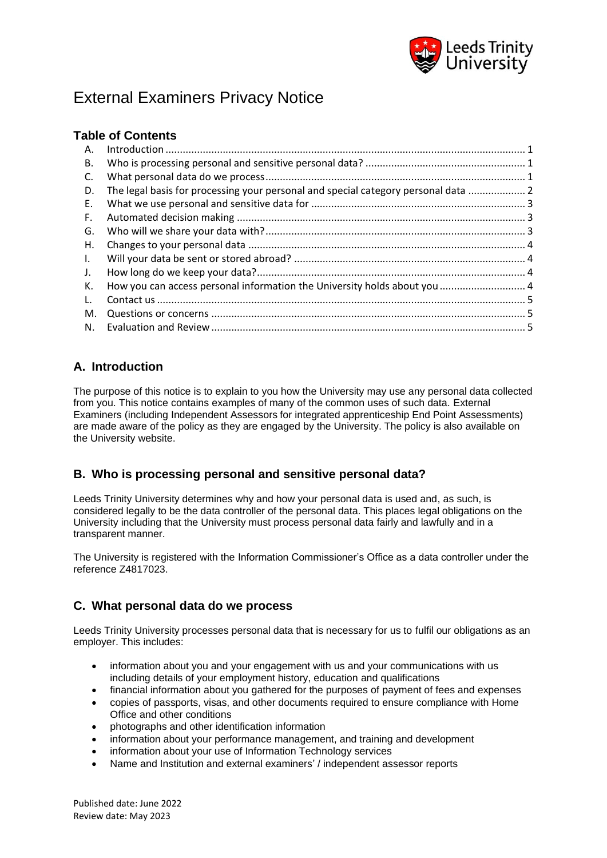

# External Examiners Privacy Notice

### **Table of Contents**

| А.           |                                                                                    |  |
|--------------|------------------------------------------------------------------------------------|--|
| В.           |                                                                                    |  |
| C.           |                                                                                    |  |
| D.           | The legal basis for processing your personal and special category personal data  2 |  |
| E.           |                                                                                    |  |
| F.           |                                                                                    |  |
| G.           |                                                                                    |  |
| Η.           |                                                                                    |  |
| $\mathbf{L}$ |                                                                                    |  |
| J.           |                                                                                    |  |
| К.           |                                                                                    |  |
| L.           |                                                                                    |  |
| M.           |                                                                                    |  |
| N.           |                                                                                    |  |

# <span id="page-0-0"></span>**A. Introduction**

The purpose of this notice is to explain to you how the University may use any personal data collected from you. This notice contains examples of many of the common uses of such data. External Examiners (including Independent Assessors for integrated apprenticeship End Point Assessments) are made aware of the policy as they are engaged by the University. The policy is also available on the University website.

# <span id="page-0-1"></span>**B. Who is processing personal and sensitive personal data?**

Leeds Trinity University determines why and how your personal data is used and, as such, is considered legally to be the data controller of the personal data. This places legal obligations on the University including that the University must process personal data fairly and lawfully and in a transparent manner.

The University is registered with the Information Commissioner's Office as a data controller under the reference Z4817023.

### <span id="page-0-2"></span>**C. What personal data do we process**

Leeds Trinity University processes personal data that is necessary for us to fulfil our obligations as an employer. This includes:

- information about you and your engagement with us and your communications with us including details of your employment history, education and qualifications
- financial information about you gathered for the purposes of payment of fees and expenses
- copies of passports, visas, and other documents required to ensure compliance with Home Office and other conditions
- photographs and other identification information
- information about your performance management, and training and development
- information about your use of Information Technology services
- Name and Institution and external examiners' / independent assessor reports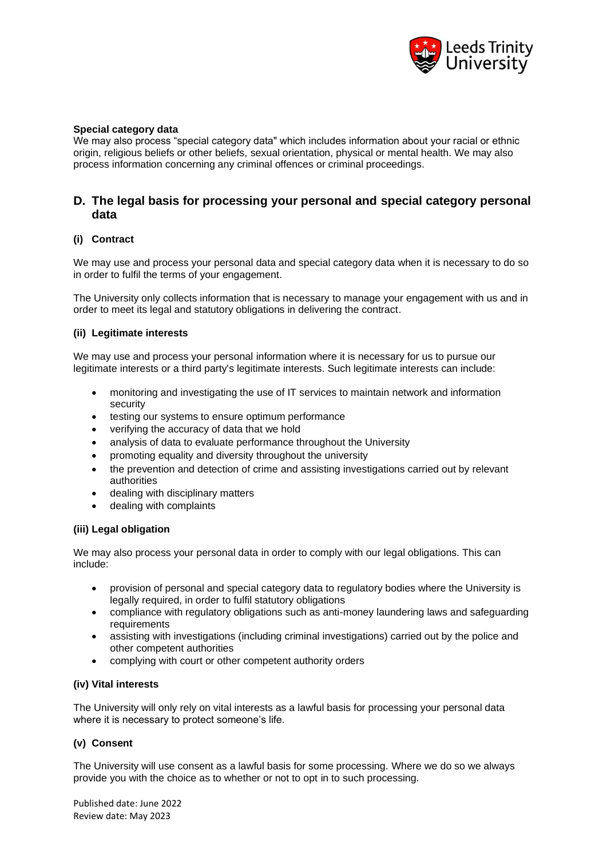

#### **Special category data**

We may also process "special category data" which includes information about your racial or ethnic origin, religious beliefs or other beliefs, sexual orientation, physical or mental health. We may also process information concerning any criminal offences or criminal proceedings.

### <span id="page-1-0"></span>**D. The legal basis for processing your personal and special category personal data**

#### **(i) Contract**

We may use and process your personal data and special category data when it is necessary to do so in order to fulfil the terms of your engagement.

The University only collects information that is necessary to manage your engagement with us and in order to meet its legal and statutory obligations in delivering the contract.

#### **(ii) Legitimate interests**

We may use and process your personal information where it is necessary for us to pursue our legitimate interests or a third party's legitimate interests. Such legitimate interests can include:

- monitoring and investigating the use of IT services to maintain network and information security
- testing our systems to ensure optimum performance
- verifying the accuracy of data that we hold
- analysis of data to evaluate performance throughout the University
- promoting equality and diversity throughout the university
- the prevention and detection of crime and assisting investigations carried out by relevant authorities
- dealing with disciplinary matters
- dealing with complaints

#### **(iii) Legal obligation**

We may also process your personal data in order to comply with our legal obligations. This can include:

- provision of personal and special category data to regulatory bodies where the University is legally required, in order to fulfil statutory obligations
- compliance with regulatory obligations such as anti-money laundering laws and safeguarding requirements
- assisting with investigations (including criminal investigations) carried out by the police and other competent authorities
- complying with court or other competent authority orders

#### **(iv) Vital interests**

The University will only rely on vital interests as a lawful basis for processing your personal data where it is necessary to protect someone's life.

#### **(v) Consent**

The University will use consent as a lawful basis for some processing. Where we do so we always provide you with the choice as to whether or not to opt in to such processing.

Published date: June 2022 Review date: May 2023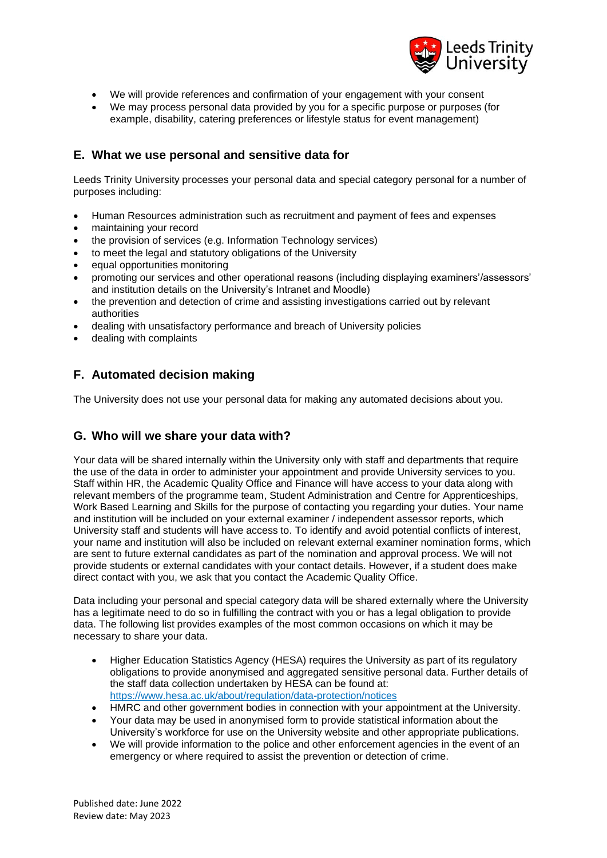

- We will provide references and confirmation of your engagement with your consent
- We may process personal data provided by you for a specific purpose or purposes (for example, disability, catering preferences or lifestyle status for event management)

### <span id="page-2-0"></span>**E. What we use personal and sensitive data for**

Leeds Trinity University processes your personal data and special category personal for a number of purposes including:

- Human Resources administration such as recruitment and payment of fees and expenses
- maintaining your record
- the provision of services (e.g. Information Technology services)
- to meet the legal and statutory obligations of the University
- equal opportunities monitoring
- promoting our services and other operational reasons (including displaying examiners'/assessors' and institution details on the University's Intranet and Moodle)
- the prevention and detection of crime and assisting investigations carried out by relevant authorities
- dealing with unsatisfactory performance and breach of University policies
- dealing with complaints

# <span id="page-2-1"></span>**F. Automated decision making**

The University does not use your personal data for making any automated decisions about you.

### <span id="page-2-2"></span>**G. Who will we share your data with?**

Your data will be shared internally within the University only with staff and departments that require the use of the data in order to administer your appointment and provide University services to you. Staff within HR, the Academic Quality Office and Finance will have access to your data along with relevant members of the programme team, Student Administration and Centre for Apprenticeships, Work Based Learning and Skills for the purpose of contacting you regarding your duties. Your name and institution will be included on your external examiner / independent assessor reports, which University staff and students will have access to. To identify and avoid potential conflicts of interest, your name and institution will also be included on relevant external examiner nomination forms, which are sent to future external candidates as part of the nomination and approval process. We will not provide students or external candidates with your contact details. However, if a student does make direct contact with you, we ask that you contact the Academic Quality Office.

Data including your personal and special category data will be shared externally where the University has a legitimate need to do so in fulfilling the contract with you or has a legal obligation to provide data. The following list provides examples of the most common occasions on which it may be necessary to share your data.

- Higher Education Statistics Agency (HESA) requires the University as part of its regulatory obligations to provide anonymised and aggregated sensitive personal data. Further details of the staff data collection undertaken by HESA can be found at: <https://www.hesa.ac.uk/about/regulation/data-protection/notices>
- HMRC and other government bodies in connection with your appointment at the University.
- Your data may be used in anonymised form to provide statistical information about the University's workforce for use on the University website and other appropriate publications.
- We will provide information to the police and other enforcement agencies in the event of an emergency or where required to assist the prevention or detection of crime.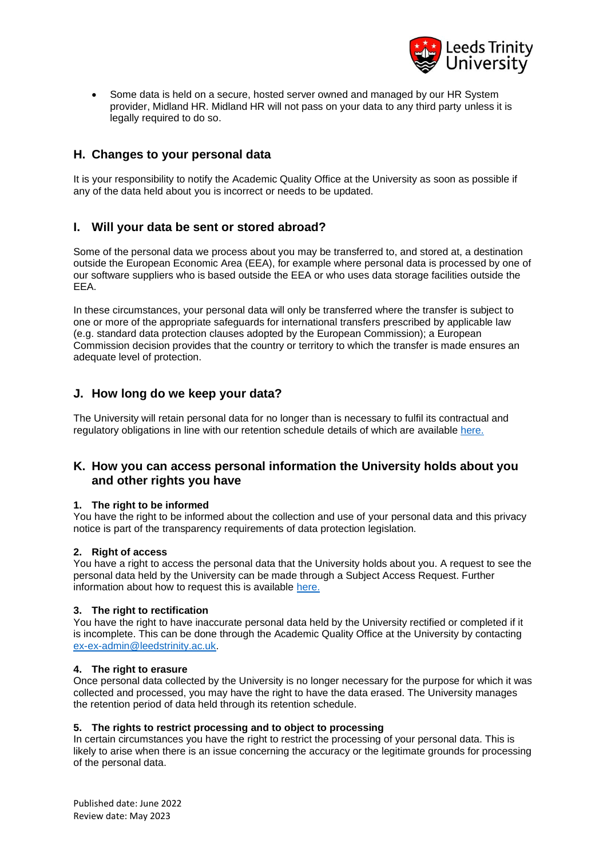

• Some data is held on a secure, hosted server owned and managed by our HR System provider, Midland HR. Midland HR will not pass on your data to any third party unless it is legally required to do so.

### <span id="page-3-0"></span>**H. Changes to your personal data**

It is your responsibility to notify the Academic Quality Office at the University as soon as possible if any of the data held about you is incorrect or needs to be updated.

### <span id="page-3-1"></span>**I. Will your data be sent or stored abroad?**

Some of the personal data we process about you may be transferred to, and stored at, a destination outside the European Economic Area (EEA), for example where personal data is processed by one of our software suppliers who is based outside the EEA or who uses data storage facilities outside the EEA.

In these circumstances, your personal data will only be transferred where the transfer is subject to one or more of the appropriate safeguards for international transfers prescribed by applicable law (e.g. standard data protection clauses adopted by the European Commission); a European Commission decision provides that the country or territory to which the transfer is made ensures an adequate level of protection.

### <span id="page-3-2"></span>**J. How long do we keep your data?**

The University will retain personal data for no longer than is necessary to fulfil its contractual and regulatory obligations in line with our retention schedule details of which are availabl[e here.](https://www.leedstrinity.ac.uk/media/site-assets/documents/key-documents/pdfs/records-retention-schedule.pdf)

### <span id="page-3-3"></span>**K. How you can access personal information the University holds about you and other rights you have**

#### **1. The right to be informed**

You have the right to be informed about the collection and use of your personal data and this privacy notice is part of the transparency requirements of data protection legislation.

#### **2. Right of access**

You have a right to access the personal data that the University holds about you. A request to see the personal data held by the University can be made through a Subject Access Request. Further information about how to request this is available [here.](https://www.leedstrinity.ac.uk/media/site-assets/documents/key-documents/pdfs/subject-data-access-requests.pdf)

#### **3. The right to rectification**

You have the right to have inaccurate personal data held by the University rectified or completed if it is incomplete. This can be done through the Academic Quality Office at the University by contacting [ex-ex-admin@leedstrinity.ac.uk.](mailto:ex-ex-admin@leedstrinity.ac.uk)

#### **4. The right to erasure**

Once personal data collected by the University is no longer necessary for the purpose for which it was collected and processed, you may have the right to have the data erased. The University manages the retention period of data held through its retention schedule.

#### **5. The rights to restrict processing and to object to processing**

In certain circumstances you have the right to restrict the processing of your personal data. This is likely to arise when there is an issue concerning the accuracy or the legitimate grounds for processing of the personal data.